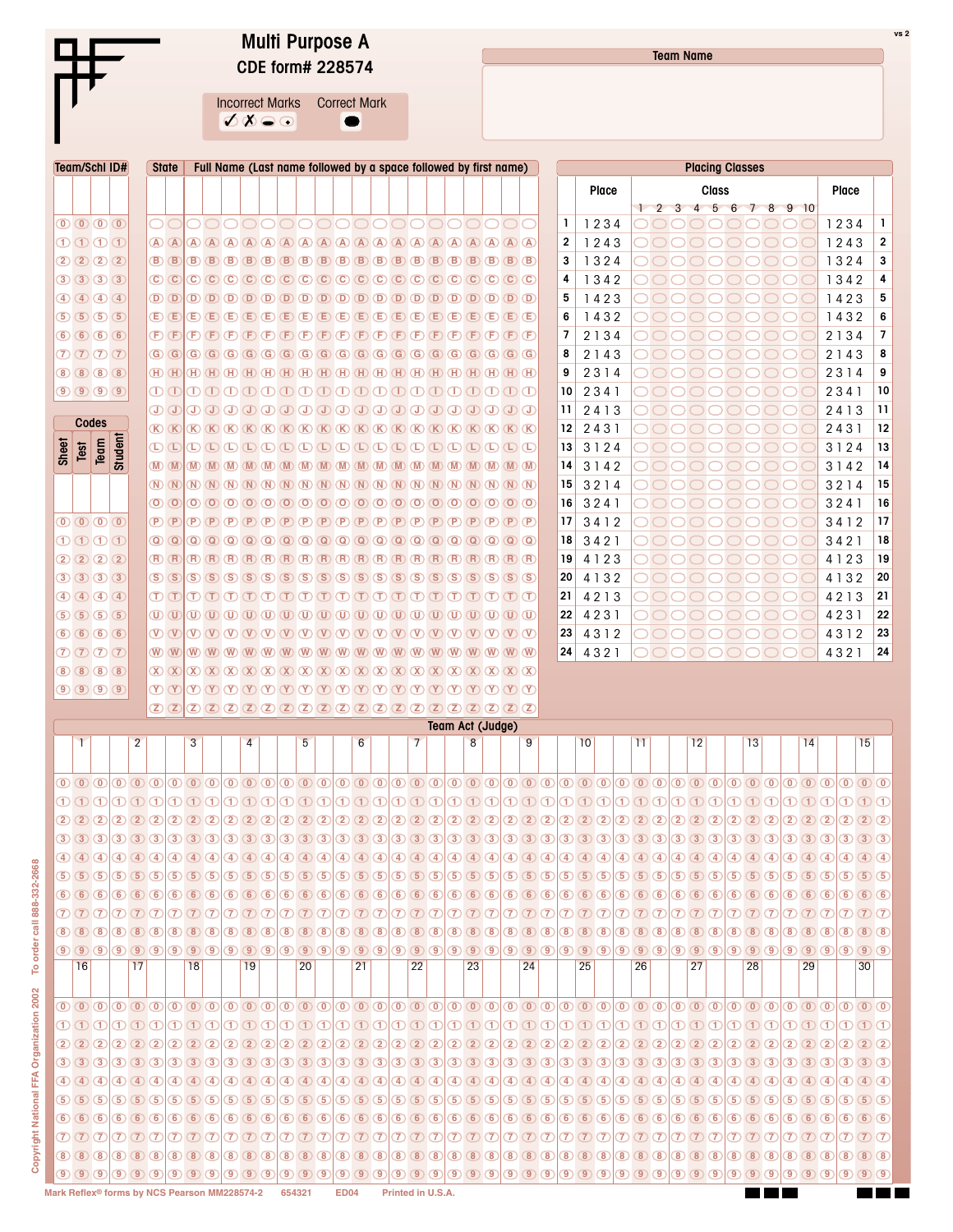|                                                                                                             | <b>Multi Purpose A</b><br><b>CDE form# 228574</b>                                                                                                                                                                                                                                                                                                                                                                                                                                                                                                                                                                                    | vs 2<br><b>Team Name</b>                                                                                                                                                                                                                                                                                                                                                                                                                                                                                                                                                                                                                        |                                                                                                                   |  |  |  |  |  |  |  |  |  |  |  |
|-------------------------------------------------------------------------------------------------------------|--------------------------------------------------------------------------------------------------------------------------------------------------------------------------------------------------------------------------------------------------------------------------------------------------------------------------------------------------------------------------------------------------------------------------------------------------------------------------------------------------------------------------------------------------------------------------------------------------------------------------------------|-------------------------------------------------------------------------------------------------------------------------------------------------------------------------------------------------------------------------------------------------------------------------------------------------------------------------------------------------------------------------------------------------------------------------------------------------------------------------------------------------------------------------------------------------------------------------------------------------------------------------------------------------|-------------------------------------------------------------------------------------------------------------------|--|--|--|--|--|--|--|--|--|--|--|
|                                                                                                             | <b>Incorrect Marks</b><br><b>Correct Mark</b><br>$\emptyset$ $\emptyset$ $\odot$ $\odot$                                                                                                                                                                                                                                                                                                                                                                                                                                                                                                                                             |                                                                                                                                                                                                                                                                                                                                                                                                                                                                                                                                                                                                                                                 |                                                                                                                   |  |  |  |  |  |  |  |  |  |  |  |
| <b>Team/Schl ID#</b><br><b>State</b>                                                                        | Full Name (Last name followed by a space followed by first name)                                                                                                                                                                                                                                                                                                                                                                                                                                                                                                                                                                     | <b>Placing Classes</b>                                                                                                                                                                                                                                                                                                                                                                                                                                                                                                                                                                                                                          |                                                                                                                   |  |  |  |  |  |  |  |  |  |  |  |
|                                                                                                             |                                                                                                                                                                                                                                                                                                                                                                                                                                                                                                                                                                                                                                      | <b>Class</b><br>Place                                                                                                                                                                                                                                                                                                                                                                                                                                                                                                                                                                                                                           | Place                                                                                                             |  |  |  |  |  |  |  |  |  |  |  |
|                                                                                                             |                                                                                                                                                                                                                                                                                                                                                                                                                                                                                                                                                                                                                                      | 1 2 3 4 5 6 7 8 9 10                                                                                                                                                                                                                                                                                                                                                                                                                                                                                                                                                                                                                            |                                                                                                                   |  |  |  |  |  |  |  |  |  |  |  |
| $\overline{0}$ $\overline{0}$ $\overline{0}$ $\overline{0}$                                                 | aaaa                                                                                                                                                                                                                                                                                                                                                                                                                                                                                                                                                                                                                                 | 1<br>1234                                                                                                                                                                                                                                                                                                                                                                                                                                                                                                                                                                                                                                       | $\mathbf{1}$<br>1234                                                                                              |  |  |  |  |  |  |  |  |  |  |  |
| 10 D C<br>$\bigcirc$ $\bigcirc$                                                                             | (A)                                                                                                                                                                                                                                                                                                                                                                                                                                                                                                                                                                                                                                  | $\overline{2}$<br>1243<br>(A)<br>(A)                                                                                                                                                                                                                                                                                                                                                                                                                                                                                                                                                                                                            | 1243<br>$\mathbf 2$                                                                                               |  |  |  |  |  |  |  |  |  |  |  |
| 2020<br>$\mathbf{B}$ $\mathbf{B}$<br>$(B)$ $(B)$                                                            | (B)<br><b>B</b><br>(B)<br>(B)<br>(B)<br><b>B</b><br>$(B)$ $(B)$<br>(B)<br><b>B</b><br>(B)<br>(B                                                                                                                                                                                                                                                                                                                                                                                                                                                                                                                                      | 3<br>1324<br>$(B)$ $(B)$ $(B)$<br>(B)<br><b>B</b>                                                                                                                                                                                                                                                                                                                                                                                                                                                                                                                                                                                               | 1324<br>3                                                                                                         |  |  |  |  |  |  |  |  |  |  |  |
| $3)$ $3)$ $3)$ $3$<br>$\mathbb{C}$ $\mathbb{C}$<br>40404<br>$\mathbf{D}$ $\mathbf{D}$                       | $\begin{array}{ccc} \textcircled{c} & \textcircled{c} & \textcircled{c} & \textcircled{c} & \textcircled{c} & \textcircled{c} & \textcircled{c} & \textcircled{c} & \textcircled{c} & \textcircled{c} & \textcircled{c} & \textcircled{c} & \textcircled{c} \end{array}$                                                                                                                                                                                                                                                                                                                                                             | 1342<br>4<br>5<br>1423                                                                                                                                                                                                                                                                                                                                                                                                                                                                                                                                                                                                                          | 1342<br>4<br>5                                                                                                    |  |  |  |  |  |  |  |  |  |  |  |
| 5) 5) 5) 5<br>$\mathbf{\mathbf{\mathbb{E}}}$ $\mathbf{\mathbb{E}}$                                          | $\left(\mathsf{E}\right)\left(\mathsf{E}\right)\left(\mathsf{E}\right)\left(\mathsf{E}\right)\left(\mathsf{E}\right)\left(\mathsf{E}\right)\left(\mathsf{E}\right)\left(\mathsf{E}\right)\left(\mathsf{E}\right)\left(\mathsf{E}\right)\left(\mathsf{E}\right)\left(\mathsf{E}\right)\left(\mathsf{E}\right)\left(\mathsf{E}\right)\left(\mathsf{E}\right)\left(\mathsf{E}\right)\left(\mathsf{E}\right)\left(\mathsf{E}\right)\left(\mathsf{E}\right)\left(\mathsf{E}\right)\left(\mathsf{E}\right)\left(\mathsf{E}\right)\left(\mathsf{E}\right)\left(\mathsf{E}\right)\left(\math$                                                | 6<br>1432                                                                                                                                                                                                                                                                                                                                                                                                                                                                                                                                                                                                                                       | 1423<br>1432<br>6                                                                                                 |  |  |  |  |  |  |  |  |  |  |  |
| 66666<br>$\mathbb{D} \times$                                                                                |                                                                                                                                                                                                                                                                                                                                                                                                                                                                                                                                                                                                                                      | $\overline{7}$<br>2134                                                                                                                                                                                                                                                                                                                                                                                                                                                                                                                                                                                                                          | 7<br>2 1 3 4                                                                                                      |  |  |  |  |  |  |  |  |  |  |  |
| $\overline{D}$ $\overline{D}$ $\overline{D}$ $\overline{C}$<br>$G$ $G$                                      |                                                                                                                                                                                                                                                                                                                                                                                                                                                                                                                                                                                                                                      | 8<br>2 1 4 3                                                                                                                                                                                                                                                                                                                                                                                                                                                                                                                                                                                                                                    | 2 1 4 3<br>8                                                                                                      |  |  |  |  |  |  |  |  |  |  |  |
| 8 8 8 8<br>$\overline{H}$ $\overline{H}$                                                                    | $\overline{H}$ $\overline{H}$ $\overline{H}$ $\overline{H}$ $\overline{H}$ $\overline{H}$ $\overline{H}$ $\overline{H}$ $\overline{H}$ $\overline{H}$ $\overline{H}$ $\overline{H}$ $\overline{H}$ $\overline{H}$ $\overline{H}$ $\overline{H}$ $\overline{H}$ $\overline{H}$ $\overline{H}$ $\overline{H}$ $\overline{H}$                                                                                                                                                                                                                                                                                                           | 9<br>2314                                                                                                                                                                                                                                                                                                                                                                                                                                                                                                                                                                                                                                       | 9<br>2314                                                                                                         |  |  |  |  |  |  |  |  |  |  |  |
| $\mathbb{O}\,\mathbb{O}$<br>9000                                                                            |                                                                                                                                                                                                                                                                                                                                                                                                                                                                                                                                                                                                                                      | 2341<br>10                                                                                                                                                                                                                                                                                                                                                                                                                                                                                                                                                                                                                                      | 2341<br>10                                                                                                        |  |  |  |  |  |  |  |  |  |  |  |
| ை<br>ச<br>Codes                                                                                             | $\begin{array}{c} \textcircled{1} & \textcircled{1} & \textcircled{1} & \textcircled{1} & \textcircled{1} \end{array} \begin{array}{c} \textcircled{1} & \textcircled{1} & \textcircled{1} & \textcircled{1} & \textcircled{1} & \textcircled{1} & \textcircled{1} \end{array} \begin{array}{c} \textcircled{1} & \textcircled{1} & \textcircled{1} & \textcircled{1} & \textcircled{1} \end{array} \begin{array}{c} \textcircled{1} & \textcircled{1} & \textcircled{1} & \textcircled{1} & \textcircled{1} \end{array}$                                                                                                            | 11<br>2413                                                                                                                                                                                                                                                                                                                                                                                                                                                                                                                                                                                                                                      | 2413<br>11                                                                                                        |  |  |  |  |  |  |  |  |  |  |  |
| $\mathbb{R}$ $\mathbb{R}$<br>(D) (L)                                                                        | $K(K)$ $K(K)$ $K(K)$ $K(K)$ $K(K)$ $K(K)$ $K(K)$ $K(K)$ $K(K)$ $K(K)$ $K(K)$ $K(K)$ $K(K)$ $K(K)$<br>$\textcolor{red}{\textbf{(D)}} \textcolor{red}{\textbf{(D)}} \textcolor{red}{\textbf{(D)}} \textcolor{red}{\textbf{(D)}} \textcolor{red}{\textbf{(D)}} \textcolor{red}{\textbf{(D)}} \textcolor{red}{\textbf{(D)}} \textcolor{red}{\textbf{(D)}} \textcolor{red}{\textbf{(D)}} \textcolor{red}{\textbf{(D)}} \textcolor{red}{\textbf{(D)}} \textcolor{red}{\textbf{(D)}} \textcolor{red}{\textbf{(D)}} \textcolor{red}{\textbf{(D)}} \textcolor{red}{\textbf{(D)}} \textcolor{red}{\textbf{(D)}} \textcolor{red}{\textbf{(D)}}$ | 12<br>2431<br>13<br>3124                                                                                                                                                                                                                                                                                                                                                                                                                                                                                                                                                                                                                        | 2431<br>12<br>3124<br>13                                                                                          |  |  |  |  |  |  |  |  |  |  |  |
| <b>Student</b><br>Sheet<br>Team<br>Test<br>$\mathbb{M}$ $\mathbb{M}$<br>(M)                                 | (M)<br>$(M)$ $(M)$<br>$(M)$ $(M)$ $(M)$ $(M)$ $(M)$ $(M)$<br>(M)                                                                                                                                                                                                                                                                                                                                                                                                                                                                                                                                                                     | 14<br>3142<br>$(M)$ $(M)$ $(M)$ $(M)$ $(M)$                                                                                                                                                                                                                                                                                                                                                                                                                                                                                                                                                                                                     | 3142<br>14                                                                                                        |  |  |  |  |  |  |  |  |  |  |  |
| $\overline{N}$ $\overline{N}$<br>$\circledR$<br>(N)                                                         | (N)<br>(N)(N)<br>$(N)$ $(N)$ $(N)$<br>(N)(N)(N)                                                                                                                                                                                                                                                                                                                                                                                                                                                                                                                                                                                      | 3214<br>15<br>$(N)$ $(N)$ $(N)$ $(N)$<br>(N)                                                                                                                                                                                                                                                                                                                                                                                                                                                                                                                                                                                                    | 3214<br>15                                                                                                        |  |  |  |  |  |  |  |  |  |  |  |
| $\overline{O}$ $\overline{O}$<br>$\circledcirc$                                                             | $\odot$ $\odot$ $\odot$ $\odot$                                                                                                                                                                                                                                                                                                                                                                                                                                                                                                                                                                                                      | 3241<br>16                                                                                                                                                                                                                                                                                                                                                                                                                                                                                                                                                                                                                                      | 3241<br>16                                                                                                        |  |  |  |  |  |  |  |  |  |  |  |
| $\overline{O}$ $\overline{O}$ $\overline{O}$ $\overline{O}$<br>$\overline{P}$ $\overline{P}$<br>$(P)$ $(P)$ | (P)                                                                                                                                                                                                                                                                                                                                                                                                                                                                                                                                                                                                                                  | 3412<br>17                                                                                                                                                                                                                                                                                                                                                                                                                                                                                                                                                                                                                                      | 3412<br>17                                                                                                        |  |  |  |  |  |  |  |  |  |  |  |
| $\Omega$ $\Omega$<br>DDDI<br>$\circledR$                                                                    | $\overline{Q}$<br>$\overline{a}$<br>$\alpha$<br>$\left( \mathbf{Q}\right)$                                                                                                                                                                                                                                                                                                                                                                                                                                                                                                                                                           | 3421<br>18                                                                                                                                                                                                                                                                                                                                                                                                                                                                                                                                                                                                                                      | 3421<br>18                                                                                                        |  |  |  |  |  |  |  |  |  |  |  |
| 2020<br>$(R)$ $(R)$                                                                                         |                                                                                                                                                                                                                                                                                                                                                                                                                                                                                                                                                                                                                                      | 19<br>4123                                                                                                                                                                                                                                                                                                                                                                                                                                                                                                                                                                                                                                      | 4123<br>19                                                                                                        |  |  |  |  |  |  |  |  |  |  |  |
| 30303<br>S(G)<br>40404<br>$\textcircled{\tiny{T}}$                                                          | $\textcircled{1}\textcircled{1}\textcircled{1}\textcircled{1}\textcircled{1}\textcircled{1}\textcircled{1}\textcircled{1}\textcircled{1}\textcircled{1}\textcircled{1}\textcircled{1}\textcircled{1}\textcircled{1}\textcircled{1}\textcircled{1}\textcircled{1}\textcircled{1}\textcircled{1}\textcircled{1}$                                                                                                                                                                                                                                                                                                                       | 20<br>4 1 3 2<br>21<br>4213                                                                                                                                                                                                                                                                                                                                                                                                                                                                                                                                                                                                                     | 4132<br>20<br>4213<br>21                                                                                          |  |  |  |  |  |  |  |  |  |  |  |
| 56555<br>$\overline{w}$                                                                                     | $(\mathbb{D},\mathbb{D},\mathbb{D},\mathbb{D},\mathbb{D},\mathbb{D},\mathbb{D},\mathbb{D},\mathbb{D},\mathbb{D},\mathbb{D},\mathbb{D},\mathbb{D},\mathbb{D},\mathbb{D},\mathbb{D},\mathbb{D},\mathbb{D},\mathbb{D},\mathbb{D},\mathbb{D},\mathbb{D},\mathbb{D},\mathbb{D},\mathbb{D},\mathbb{D},\mathbb{D},\mathbb{D},\mathbb{D},\mathbb{D},\mathbb{D},\mathbb{D},\mathbb{D},\mathbb{D},\mathbb{D},\mathbb{D},\mathbb{$                                                                                                                                                                                                              | 22<br>4231                                                                                                                                                                                                                                                                                                                                                                                                                                                                                                                                                                                                                                      | 4231<br>22                                                                                                        |  |  |  |  |  |  |  |  |  |  |  |
| 66666<br>$\overline{\mathbb{V}}\times\overline{\mathbb{V}}$                                                 | $(\mathbb{V}) \cdot (\mathbb{V}) \cdot (\mathbb{V}) \cdot (\mathbb{V}) \cdot (\mathbb{V}) \cdot (\mathbb{V}) \cdot (\mathbb{V}) \cdot (\mathbb{V}) \cdot (\mathbb{V}) \cdot (\mathbb{V}) \cdot (\mathbb{V}) \cdot (\mathbb{V}) \cdot (\mathbb{V}) \cdot (\mathbb{V}) \cdot (\mathbb{V}) \cdot (\mathbb{V}) \cdot (\mathbb{V}) \cdot (\mathbb{V}) \cdot (\mathbb{V}) \cdot (\mathbb{V}) \cdot (\mathbb{V}) \cdot (\mathbb{V}) \cdot (\mathbb{V}) \cdot (\mathbb{V}) \cdot (\mathbb{V}) \cdot (\mathbb{V}) \cdot (\mathbb{V}) \cdot (\mathbb{$                                                                                         | 23<br>4312                                                                                                                                                                                                                                                                                                                                                                                                                                                                                                                                                                                                                                      | 4312<br>23                                                                                                        |  |  |  |  |  |  |  |  |  |  |  |
| $\overline{D}$ $\overline{D}$ $\overline{D}$ $\overline{C}$<br>W W                                          |                                                                                                                                                                                                                                                                                                                                                                                                                                                                                                                                                                                                                                      | 24<br>4321<br>OO<br>OO                                                                                                                                                                                                                                                                                                                                                                                                                                                                                                                                                                                                                          | 4321<br>24                                                                                                        |  |  |  |  |  |  |  |  |  |  |  |
| 8 8 8 8<br>$\alpha(x)$                                                                                      |                                                                                                                                                                                                                                                                                                                                                                                                                                                                                                                                                                                                                                      |                                                                                                                                                                                                                                                                                                                                                                                                                                                                                                                                                                                                                                                 |                                                                                                                   |  |  |  |  |  |  |  |  |  |  |  |
| $\bigcirc$ $\bigcirc$ $\bigcirc$ $\bigcirc$ $\bigcirc$<br>$(Y)$ $(Y)$                                       | $\circled{Y}$ $\circled{Y}$ $\circled{Y}$ $\circled{Y}$ $\circled{Y}$ $\circled{Y}$ $\circled{Y}$ $\circled{Y}$ $\circled{Y}$ $\circled{Y}$ $\circled{Y}$ $\circled{Y}$ $\circled{Y}$ $\circled{Y}$ $\circled{Y}$ $\circled{Y}$ $\circled{Y}$ $\circled{Y}$                                                                                                                                                                                                                                                                                                                                                                          |                                                                                                                                                                                                                                                                                                                                                                                                                                                                                                                                                                                                                                                 |                                                                                                                   |  |  |  |  |  |  |  |  |  |  |  |
| $\mathbb{Z}(\mathbb{Z})$                                                                                    |                                                                                                                                                                                                                                                                                                                                                                                                                                                                                                                                                                                                                                      | <b>Team Act (Judge)</b>                                                                                                                                                                                                                                                                                                                                                                                                                                                                                                                                                                                                                         |                                                                                                                   |  |  |  |  |  |  |  |  |  |  |  |
| Ŧ<br>$\overline{2}$<br>3                                                                                    | 6<br>7<br>$\overline{4}$<br>$5\overline{)}$                                                                                                                                                                                                                                                                                                                                                                                                                                                                                                                                                                                          | 8<br>9<br>10<br>12<br>13<br>11                                                                                                                                                                                                                                                                                                                                                                                                                                                                                                                                                                                                                  | 15<br>14                                                                                                          |  |  |  |  |  |  |  |  |  |  |  |
|                                                                                                             |                                                                                                                                                                                                                                                                                                                                                                                                                                                                                                                                                                                                                                      |                                                                                                                                                                                                                                                                                                                                                                                                                                                                                                                                                                                                                                                 |                                                                                                                   |  |  |  |  |  |  |  |  |  |  |  |
|                                                                                                             |                                                                                                                                                                                                                                                                                                                                                                                                                                                                                                                                                                                                                                      | $\textcircled{\,\circledcirc} \textcircled{\,\circledcirc} \textcircled{\,\circledcirc} \textcircled{\,\circledcirc} \textcircled{\,\circledcirc} \textcircled{\,\circledcirc} \textcircled{\,\circledcirc} \textcircled{\,\circledcirc} \textcircled{\,\circledcirc} \textcircled{\,\circledcirc} \textcircled{\,\circledcirc} \textcircled{\,\circ} \textcircled{\,\circ} \textcircled{\,\circ} \textcircled{\,\circ} \textcircled{\,\circ} \textcircled{\,\circ} \textcircled{\,\circ} \textcircled{\,\circ} \textcircled{\,\circ} \textcircled{\,\circ} \textcircled{\,\circ} \textcircled{\,\circ} \textcircled{\,\circ} \textcircled{\,\$ |                                                                                                                   |  |  |  |  |  |  |  |  |  |  |  |
|                                                                                                             |                                                                                                                                                                                                                                                                                                                                                                                                                                                                                                                                                                                                                                      |                                                                                                                                                                                                                                                                                                                                                                                                                                                                                                                                                                                                                                                 |                                                                                                                   |  |  |  |  |  |  |  |  |  |  |  |
|                                                                                                             |                                                                                                                                                                                                                                                                                                                                                                                                                                                                                                                                                                                                                                      |                                                                                                                                                                                                                                                                                                                                                                                                                                                                                                                                                                                                                                                 |                                                                                                                   |  |  |  |  |  |  |  |  |  |  |  |
|                                                                                                             |                                                                                                                                                                                                                                                                                                                                                                                                                                                                                                                                                                                                                                      | $\underline{4\underline{0}\oplus\underline{4\underline{0}\oplus\underline{4}\oplus\underline{4}\oplus\underline{4}\oplus\underline{4}\oplus\underline{4}\oplus\underline{4}\oplus\underline{4}\oplus\underline{4}\oplus\underline{4}\oplus\underline{4}\oplus\underline{4}\oplus\underline{4}\oplus\underline{4}\oplus\underline{4}\oplus\underline{4}\oplus\underline{4}\oplus\underline{4}\oplus\underline{4}\oplus\underline{4}\oplus\underline{4}\oplus\underline{4}\oplus\underline{4}\oplus\underline{4}\oplus\underline{4}\oplus\under$                                                                                                  |                                                                                                                   |  |  |  |  |  |  |  |  |  |  |  |
|                                                                                                             |                                                                                                                                                                                                                                                                                                                                                                                                                                                                                                                                                                                                                                      |                                                                                                                                                                                                                                                                                                                                                                                                                                                                                                                                                                                                                                                 |                                                                                                                   |  |  |  |  |  |  |  |  |  |  |  |
| 6666                                                                                                        |                                                                                                                                                                                                                                                                                                                                                                                                                                                                                                                                                                                                                                      |                                                                                                                                                                                                                                                                                                                                                                                                                                                                                                                                                                                                                                                 |                                                                                                                   |  |  |  |  |  |  |  |  |  |  |  |
|                                                                                                             |                                                                                                                                                                                                                                                                                                                                                                                                                                                                                                                                                                                                                                      | $\text{ }\mathcal{D}\text{ }(\mathcal{D})\text{ }(\mathcal{D})\text{ }(\mathcal{D})\text{ }(\mathcal{D})\text{ }(\mathcal{D})\text{ }(\mathcal{D})\text{ }(\mathcal{D})\text{ }(\mathcal{D})\text{ }(\mathcal{D})\text{ }(\mathcal{D})\text{ }(\mathcal{D})\text{ }(\mathcal{D})\text{ }(\mathcal{D})\text{ }(\mathcal{D})\text{ }(\mathcal{D})\text{ }(\mathcal{D})\text{ }(\mathcal{D})\text{ }(\mathcal{D})\text{ }(\mathcal{D})\text{ }(\mathcal{D})\text{ }(\mathcal{D})\$                                                                                                                                                                 | $\textcircled{7} \textcircled{7} \textcircled{7} \textcircled{7} \textcircled{7} \textcircled{7} \textcircled{7}$ |  |  |  |  |  |  |  |  |  |  |  |
| (8)(8)(8)                                                                                                   |                                                                                                                                                                                                                                                                                                                                                                                                                                                                                                                                                                                                                                      |                                                                                                                                                                                                                                                                                                                                                                                                                                                                                                                                                                                                                                                 |                                                                                                                   |  |  |  |  |  |  |  |  |  |  |  |
| $\left( 9\right)$ $\left( 9\right)$ $\left( 9\right)$<br>$(9)$ $(9)$ $(9)$<br>16<br>17<br>18                | (9) (9) (9) (9) (9) (9) (9) (9) (9)<br>(9) 9) (9) (9) (9) (9) (9) (9) (9)<br>19<br>20<br>21<br>22                                                                                                                                                                                                                                                                                                                                                                                                                                                                                                                                    | $\left( 9\right)  \left( 9\right)$<br>(9) (9) (9) (9) (9) (9) (9) (9) (9)<br>$\circledcirc$ $\circledcirc$ $\circledcirc$<br>23<br>24<br>25<br>26<br>27<br>28                                                                                                                                                                                                                                                                                                                                                                                                                                                                                   | 90000000000<br>29<br>30                                                                                           |  |  |  |  |  |  |  |  |  |  |  |
|                                                                                                             |                                                                                                                                                                                                                                                                                                                                                                                                                                                                                                                                                                                                                                      |                                                                                                                                                                                                                                                                                                                                                                                                                                                                                                                                                                                                                                                 |                                                                                                                   |  |  |  |  |  |  |  |  |  |  |  |
|                                                                                                             |                                                                                                                                                                                                                                                                                                                                                                                                                                                                                                                                                                                                                                      | $\textcircled{\,\,0} \textcircled{\,\,0} \textcircled{\,\,0} \textcircled{\,\,0} \textcircled{\,\,0} \textcircled{\,\,0} \textcircled{\,\,0} \textcircled{\,\,0} \textcircled{\,\,0} \textcircled{\,\,0} \textcircled{\,\,0} \textcircled{\,\,0} \textcircled{\,\,0} \textcircled{\,\,0} \textcircled{\,\,0} \textcircled{\,\,0} \textcircled{\,\,0} \textcircled{\,\,0} \textcircled{\,\,0} \textcircled{\,\,0} \textcircled{\,\,0} \textcircled{\,\,0} \textcircled{\,\,0} \textcircled{\,\,0} \textcircled$                                                                                                                                  |                                                                                                                   |  |  |  |  |  |  |  |  |  |  |  |
|                                                                                                             |                                                                                                                                                                                                                                                                                                                                                                                                                                                                                                                                                                                                                                      |                                                                                                                                                                                                                                                                                                                                                                                                                                                                                                                                                                                                                                                 |                                                                                                                   |  |  |  |  |  |  |  |  |  |  |  |
|                                                                                                             |                                                                                                                                                                                                                                                                                                                                                                                                                                                                                                                                                                                                                                      | $\textcircled{2}\textcircled{2}\textcircled{2}\textcircled{2}\textcircled{2}\textcircled{2}\textcircled{2}\textcircled{2}\textcircled{2}\textcircled{2}\textcircled{2}\textcircled{2}\textcircled{2}\textcircled{2}\textcircled{2}\textcircled{2}\textcircled{2}\textcircled{2}\textcircled{2}\textcircled{2}\textcircled{2}\textcircled{2}\textcircled{2}\textcircled{2}\textcircled{2}\textcircled{2}\textcircled{2}\textcircled{2}\textcircled{2}\textcircled{2}\textcircled{2}\textcircled{2}\textcircled{2}\textcircled{2}\textcircled{2}\textcircled{2}\textcircled$                                                                      |                                                                                                                   |  |  |  |  |  |  |  |  |  |  |  |
|                                                                                                             |                                                                                                                                                                                                                                                                                                                                                                                                                                                                                                                                                                                                                                      |                                                                                                                                                                                                                                                                                                                                                                                                                                                                                                                                                                                                                                                 |                                                                                                                   |  |  |  |  |  |  |  |  |  |  |  |
|                                                                                                             |                                                                                                                                                                                                                                                                                                                                                                                                                                                                                                                                                                                                                                      |                                                                                                                                                                                                                                                                                                                                                                                                                                                                                                                                                                                                                                                 |                                                                                                                   |  |  |  |  |  |  |  |  |  |  |  |
|                                                                                                             |                                                                                                                                                                                                                                                                                                                                                                                                                                                                                                                                                                                                                                      | $\textcircled{\scriptsize{6}}\textcircled{\scriptsize{6}}\textcircled{\scriptsize{6}}\textcircled{\scriptsize{6}}\textcircled{\scriptsize{6}}\textcircled{\scriptsize{6}}\textcircled{\scriptsize{6}}\textcircled{\scriptsize{6}}\textcircled{\scriptsize{6}}\textcircled{\scriptsize{6}}\textcircled{\scriptsize{6}}\textcircled{\scriptsize{6}}\textcircled{\scriptsize{6}}\textcircled{\scriptsize{6}}\textcircled{\scriptsize{6}}\textcircled{\scriptsize{6}}\textcircled{\scriptsize{6}}\textcircled{\scriptsize{6}}\textcircled{\scriptsize{6}}\textcircled{\scriptsize{6}}\textcircled{\scriptsize{6}}\textcircled{\scriptsize{6}}$      |                                                                                                                   |  |  |  |  |  |  |  |  |  |  |  |
|                                                                                                             |                                                                                                                                                                                                                                                                                                                                                                                                                                                                                                                                                                                                                                      |                                                                                                                                                                                                                                                                                                                                                                                                                                                                                                                                                                                                                                                 |                                                                                                                   |  |  |  |  |  |  |  |  |  |  |  |
|                                                                                                             |                                                                                                                                                                                                                                                                                                                                                                                                                                                                                                                                                                                                                                      |                                                                                                                                                                                                                                                                                                                                                                                                                                                                                                                                                                                                                                                 |                                                                                                                   |  |  |  |  |  |  |  |  |  |  |  |
| $9$ $9$ $\overline{9}$                                                                                      |                                                                                                                                                                                                                                                                                                                                                                                                                                                                                                                                                                                                                                      |                                                                                                                                                                                                                                                                                                                                                                                                                                                                                                                                                                                                                                                 |                                                                                                                   |  |  |  |  |  |  |  |  |  |  |  |

**Mark Reflex® forms by NCS Pearson MM228574-2 654321 ED04 Printed in U.S.A.**